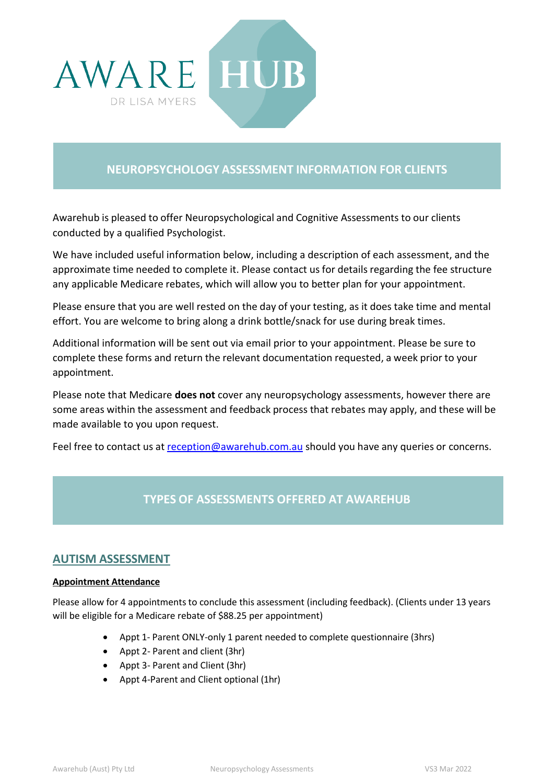

# **NEUROPSYCHOLOGY ASSESSMENT INFORMATION FOR CLIENTS**

Awarehub is pleased to offer Neuropsychological and Cognitive Assessments to our clients conducted by a qualified Psychologist.

We have included useful information below, including a description of each assessment, and the approximate time needed to complete it. Please contact us for details regarding the fee structure any applicable Medicare rebates, which will allow you to better plan for your appointment.

Please ensure that you are well rested on the day of your testing, as it does take time and mental effort. You are welcome to bring along a drink bottle/snack for use during break times.

Additional information will be sent out via email prior to your appointment. Please be sure to complete these forms and return the relevant documentation requested, a week prior to your appointment.

Please note that Medicare **does not** cover any neuropsychology assessments, however there are some areas within the assessment and feedback process that rebates may apply, and these will be made available to you upon request.

Feel free to contact us at [reception@awarehub.com.au](mailto:reception@awarehub.com.au) should you have any queries or concerns.

# **TYPES OF ASSESSMENTS OFFERED AT AWAREHUB**

## **AUTISM ASSESSMENT**

### **Appointment Attendance**

Please allow for 4 appointments to conclude this assessment (including feedback). (Clients under 13 years will be eligible for a Medicare rebate of \$88.25 per appointment)

- Appt 1- Parent ONLY-only 1 parent needed to complete questionnaire (3hrs)
- Appt 2- Parent and client (3hr)
- Appt 3- Parent and Client (3hr)
- Appt 4-Parent and Client optional (1hr)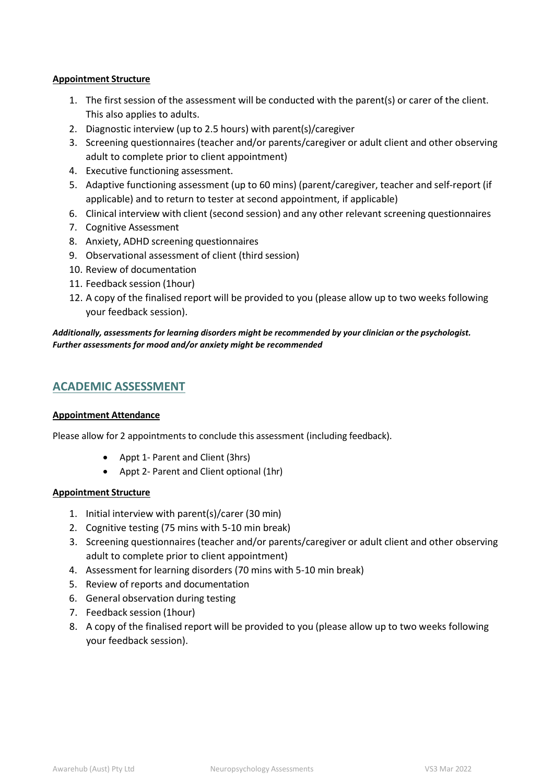#### **Appointment Structure**

- 1. The first session of the assessment will be conducted with the parent(s) or carer of the client. This also applies to adults.
- 2. Diagnostic interview (up to 2.5 hours) with parent(s)/caregiver
- 3. Screening questionnaires (teacher and/or parents/caregiver or adult client and other observing adult to complete prior to client appointment)
- 4. Executive functioning assessment.
- 5. Adaptive functioning assessment (up to 60 mins) (parent/caregiver, teacher and self-report (if applicable) and to return to tester at second appointment, if applicable)
- 6. Clinical interview with client (second session) and any other relevant screening questionnaires
- 7. Cognitive Assessment
- 8. Anxiety, ADHD screening questionnaires
- 9. Observational assessment of client (third session)
- 10. Review of documentation
- 11. Feedback session (1hour)
- 12. A copy of the finalised report will be provided to you (please allow up to two weeks following your feedback session).

### *Additionally, assessments for learning disorders might be recommended by your clinician or the psychologist. Further assessments for mood and/or anxiety might be recommended*

## **ACADEMIC ASSESSMENT**

#### **Appointment Attendance**

Please allow for 2 appointments to conclude this assessment (including feedback).

- Appt 1- Parent and Client (3hrs)
- Appt 2- Parent and Client optional (1hr)

#### **Appointment Structure**

- 1. Initial interview with parent(s)/carer (30 min)
- 2. Cognitive testing (75 mins with 5-10 min break)
- 3. Screening questionnaires(teacher and/or parents/caregiver or adult client and other observing adult to complete prior to client appointment)
- 4. Assessment for learning disorders (70 mins with 5-10 min break)
- 5. Review of reports and documentation
- 6. General observation during testing
- 7. Feedback session (1hour)
- 8. A copy of the finalised report will be provided to you (please allow up to two weeks following your feedback session).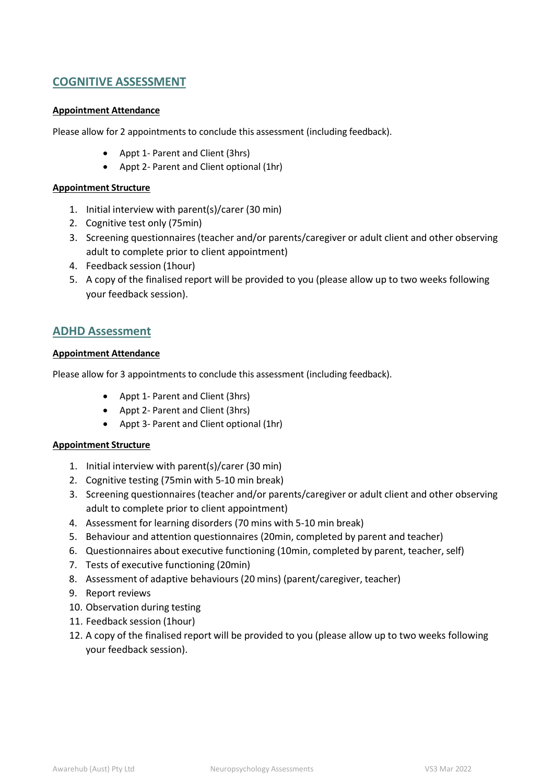## **COGNITIVE ASSESSMENT**

#### **Appointment Attendance**

Please allow for 2 appointments to conclude this assessment (including feedback).

- Appt 1- Parent and Client (3hrs)
- Appt 2- Parent and Client optional (1hr)

#### **Appointment Structure**

- 1. Initial interview with parent(s)/carer (30 min)
- 2. Cognitive test only (75min)
- 3. Screening questionnaires(teacher and/or parents/caregiver or adult client and other observing adult to complete prior to client appointment)
- 4. Feedback session (1hour)
- 5. A copy of the finalised report will be provided to you (please allow up to two weeks following your feedback session).

## **ADHD Assessment**

#### **Appointment Attendance**

Please allow for 3 appointments to conclude this assessment (including feedback).

- Appt 1- Parent and Client (3hrs)
- Appt 2- Parent and Client (3hrs)
- Appt 3- Parent and Client optional (1hr)

#### **Appointment Structure**

- 1. Initial interview with parent(s)/carer (30 min)
- 2. Cognitive testing (75min with 5-10 min break)
- 3. Screening questionnaires(teacher and/or parents/caregiver or adult client and other observing adult to complete prior to client appointment)
- 4. Assessment for learning disorders (70 mins with 5-10 min break)
- 5. Behaviour and attention questionnaires (20min, completed by parent and teacher)
- 6. Questionnaires about executive functioning (10min, completed by parent, teacher, self)
- 7. Tests of executive functioning (20min)
- 8. Assessment of adaptive behaviours (20 mins) (parent/caregiver, teacher)
- 9. Report reviews
- 10. Observation during testing
- 11. Feedback session (1hour)
- 12. A copy of the finalised report will be provided to you (please allow up to two weeks following your feedback session).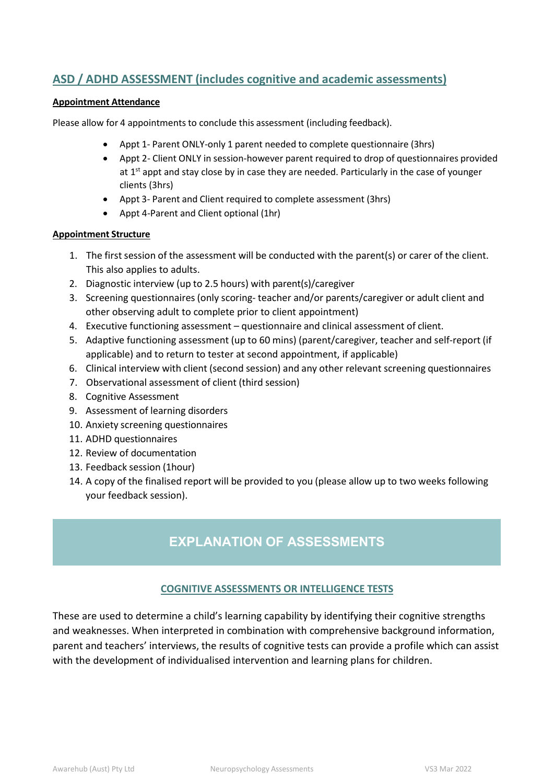# **ASD / ADHD ASSESSMENT (includes cognitive and academic assessments)**

### **Appointment Attendance**

Please allow for 4 appointments to conclude this assessment (including feedback).

- Appt 1- Parent ONLY-only 1 parent needed to complete questionnaire (3hrs)
- Appt 2- Client ONLY in session-however parent required to drop of questionnaires provided at  $1<sup>st</sup>$  appt and stay close by in case they are needed. Particularly in the case of younger clients (3hrs)
- Appt 3- Parent and Client required to complete assessment (3hrs)
- Appt 4-Parent and Client optional (1hr)

#### **Appointment Structure**

- 1. The first session of the assessment will be conducted with the parent(s) or carer of the client. This also applies to adults.
- 2. Diagnostic interview (up to 2.5 hours) with parent(s)/caregiver
- 3. Screening questionnaires(only scoring- teacher and/or parents/caregiver or adult client and other observing adult to complete prior to client appointment)
- 4. Executive functioning assessment questionnaire and clinical assessment of client.
- 5. Adaptive functioning assessment (up to 60 mins) (parent/caregiver, teacher and self-report (if applicable) and to return to tester at second appointment, if applicable)
- 6. Clinical interview with client (second session) and any other relevant screening questionnaires
- 7. Observational assessment of client (third session)
- 8. Cognitive Assessment
- 9. Assessment of learning disorders
- 10. Anxiety screening questionnaires
- 11. ADHD questionnaires
- 12. Review of documentation
- 13. Feedback session (1hour)
- 14. A copy of the finalised report will be provided to you (please allow up to two weeks following your feedback session).

# **EXPLANATION OF ASSESSMENTS**

### **COGNITIVE ASSESSMENTS OR INTELLIGENCE TESTS**

These are used to determine a child's learning capability by identifying their cognitive strengths and weaknesses. When interpreted in combination with comprehensive background information, parent and teachers' interviews, the results of cognitive tests can provide a profile which can assist with the development of individualised intervention and learning plans for children.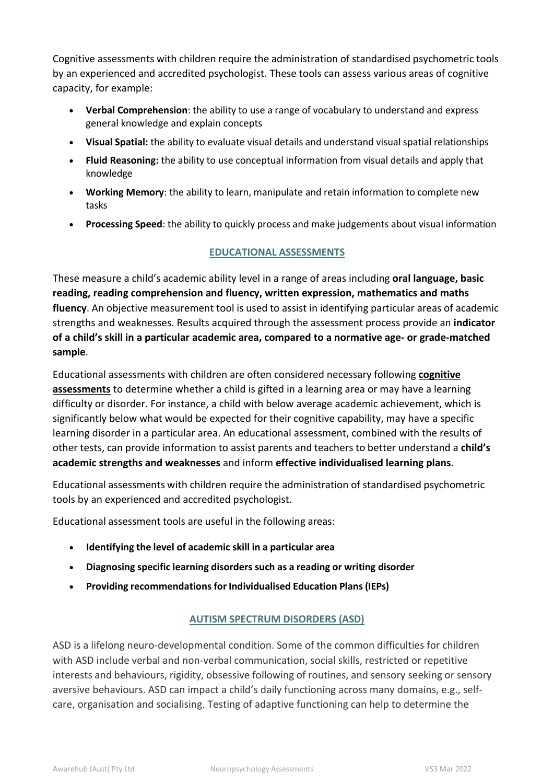Cognitive assessments with children require the administration of standardised psychometric tools by an experienced and accredited psychologist. These tools can assess various areas of cognitive capacity, for example:

- **Verbal Comprehension**: the ability to use a range of vocabulary to understand and express general knowledge and explain concepts
- **Visual Spatial:** the ability to evaluate visual details and understand visual spatial relationships
- **Fluid Reasoning:** the ability to use conceptual information from visual details and apply that knowledge
- **Working Memory**: the ability to learn, manipulate and retain information to complete new tasks
- **Processing Speed**: the ability to quickly process and make judgements about visual information

## **EDUCATIONAL ASSESSMENTS**

These measure a child's academic ability level in a range of areas including **oral language, basic reading, reading comprehension and fluency, written expression, mathematics and maths fluency**. An objective measurement tool is used to assist in identifying particular areas of academic strengths and weaknesses. Results acquired through the assessment process provide an **indicator of a child's skill in a particular academic area, compared to a normative age- or grade-matched sample**.

Educational assessments with children are often considered necessary following **[cognitive](https://childpsychologist.com.au/service/assessments/cognitive-assessments-iq-testing/) [assessments](https://childpsychologist.com.au/service/assessments/cognitive-assessments-iq-testing/)** to determine whether a child is gifted in a learning area or may have a learning difficulty or disorder. For instance, a child with below average academic achievement, which is significantly below what would be expected for their cognitive capability, may have a specific learning disorder in a particular area. An educational assessment, combined with the results of other tests, can provide information to assist parents and teachers to better understand a **child's academic strengths and weaknesses** and inform **effective individualised learning plans**.

Educational assessments with children require the administration of standardised psychometric tools by an experienced and accredited psychologist.

Educational assessment tools are useful in the following areas:

- **Identifying the level of academic skill in a particular area**
- **Diagnosing specific learning disorders such as a [reading](https://childpsychologist.com.au/service/assessments/educational-assessment/dyslexia-portfolio/) or writing disorder**
- **Providing recommendations forIndividualised Education Plans(IEPs)**

## **AUTISM SPECTRUM DISORDERS (ASD)**

ASD is a lifelong neuro-developmental condition. Some of the common difficulties for children with ASD include verbal and non-verbal communication, social skills, restricted or repetitive interests and behaviours, rigidity, obsessive following of routines, and sensory seeking or sensory aversive behaviours. ASD can impact a child's daily functioning across many domains, e.g., selfcare, organisation and socialising. Testing of adaptive functioning can help to determine the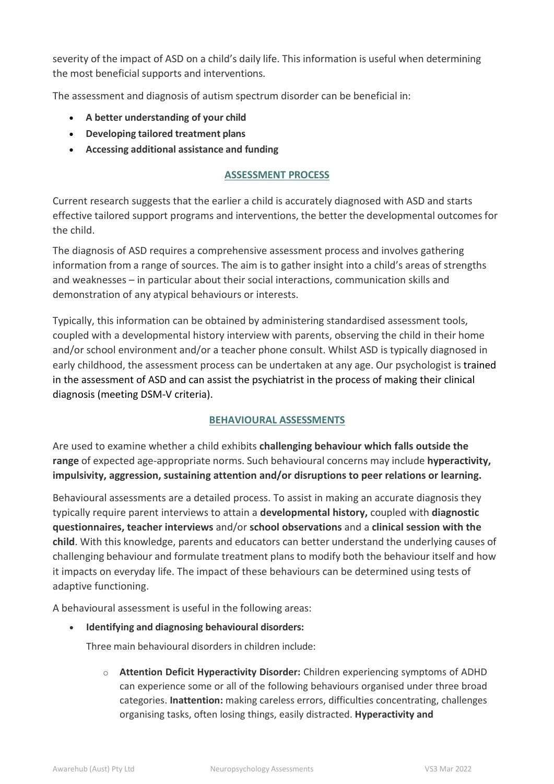severity of the impact of ASD on a child's daily life. This information is useful when determining the most beneficial supports and interventions.

The assessment and diagnosis of autism spectrum disorder can be beneficial in:

- **A better understanding of your child**
- **Developing tailored treatment plans**
- **Accessing additional assistance and funding**

## **ASSESSMENT PROCESS**

Current research suggests that the earlier a child is accurately diagnosed with ASD and starts effective tailored support programs and interventions, the better the developmental outcomes for the child.

The diagnosis of ASD requires a comprehensive assessment process and involves gathering information from a range of sources. The aim is to gather insight into a child's areas of strengths and weaknesses – in particular about their social interactions, communication skills and demonstration of any atypical behaviours or interests.

Typically, this information can be obtained by administering standardised assessment tools, coupled with a developmental history interview with parents, observing the child in their home and/or school environment and/or a teacher phone consult. Whilst ASD is typically diagnosed in early childhood, the assessment process can be undertaken at any age. Our psychologist is trained in the assessment of ASD and can assist the psychiatrist in the process of making their clinical diagnosis (meeting DSM-V criteria).

## **BEHAVIOURAL ASSESSMENTS**

Are used to examine whether a child exhibits **challenging behaviour which falls outside the range** of expected age-appropriate norms. Such behavioural concerns may include **hyperactivity, impulsivity, aggression, sustaining attention and/or disruptions to peer relations or learning.**

Behavioural assessments are a detailed process. To assist in making an accurate diagnosis they typically require parent interviews to attain a **developmental history,** coupled with **diagnostic questionnaires, teacher interviews** and/or **school observations** and a **clinical session with the child**. With this knowledge, parents and educators can better understand the underlying causes of challenging behaviour and formulate treatment plans to modify both the behaviour itself and how it impacts on everyday life. The impact of these behaviours can be determined using tests of adaptive functioning.

A behavioural assessment is useful in the following areas:

• **Identifying and diagnosing behavioural disorders:**

Three main behavioural disorders in children include:

o **Attention Deficit Hyperactivity Disorder:** Children experiencing symptoms of ADHD can experience some or all of the following behaviours organised under three broad categories. **Inattention:** making careless errors, difficulties concentrating, challenges organising tasks, often losing things, easily distracted. **Hyperactivity and**